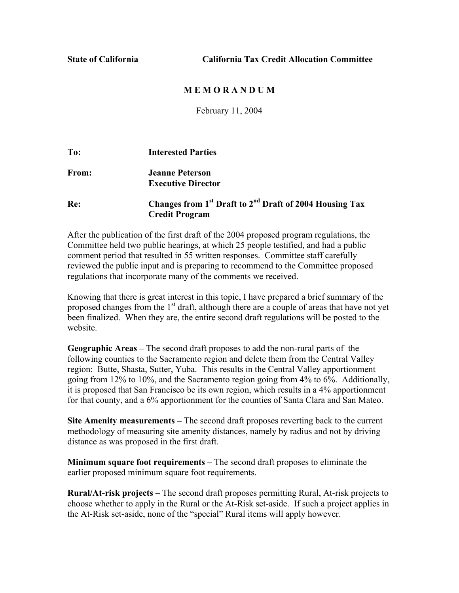**State of California California Tax Credit Allocation Committee** 

## **M E M O R A N D U M**

February 11, 2004

| To:   | <b>Interested Parties</b>                                                       |
|-------|---------------------------------------------------------------------------------|
| From: | <b>Jeanne Peterson</b>                                                          |
|       | <b>Executive Director</b>                                                       |
| Re:   | Changes from 1 <sup>st</sup> Draft to 2 <sup>nd</sup> Draft of 2004 Housing Tax |
|       | <b>Credit Program</b>                                                           |

After the publication of the first draft of the 2004 proposed program regulations, the Committee held two public hearings, at which 25 people testified, and had a public comment period that resulted in 55 written responses. Committee staff carefully reviewed the public input and is preparing to recommend to the Committee proposed regulations that incorporate many of the comments we received.

Knowing that there is great interest in this topic, I have prepared a brief summary of the proposed changes from the  $1<sup>st</sup>$  draft, although there are a couple of areas that have not yet been finalized. When they are, the entire second draft regulations will be posted to the website.

**Geographic Areas –** The second draft proposes to add the non-rural parts of the following counties to the Sacramento region and delete them from the Central Valley region: Butte, Shasta, Sutter, Yuba. This results in the Central Valley apportionment going from 12% to 10%, and the Sacramento region going from 4% to 6%. Additionally, it is proposed that San Francisco be its own region, which results in a 4% apportionment for that county, and a 6% apportionment for the counties of Santa Clara and San Mateo.

**Site Amenity measurements –** The second draft proposes reverting back to the current methodology of measuring site amenity distances, namely by radius and not by driving distance as was proposed in the first draft.

**Minimum square foot requirements –** The second draft proposes to eliminate the earlier proposed minimum square foot requirements.

**Rural/At-risk projects –** The second draft proposes permitting Rural, At-risk projects to choose whether to apply in the Rural or the At-Risk set-aside. If such a project applies in the At-Risk set-aside, none of the "special" Rural items will apply however.